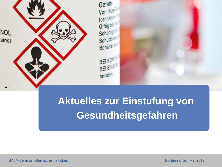

# **Aktuelles zur Einstufung von Gesundheitsgefahren**

BAuA-Seminar "Gemische im Fokus" and der anten and der anten and der anten and der anten and Dortmund, 20. Mai 2019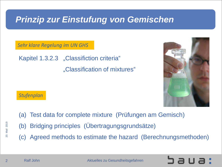## *Prinzip zur Einstufung von Gemischen*

*Sehr klare Regelung im UN GHS*

Kapitel 1.3.2.3 "Classifiction criteria" "Classification of mixtures"



#### *Stufenplan*

- (a) Test data for complete mixture (Prüfungen am Gemisch)
- (b) Bridging principles (Übertragungsgrundsätze)
- (c) Agreed methods to estimate the hazard (Berechnungsmethoden)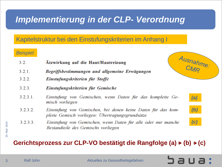# *Implementierung in der CLP- Verordnung*

#### Kapitelstruktur bei den Einstufungskriterien im Anhang I

#### *Beispiel:*

- 3.2 Atzwirkung auf die Haut/Hautreizung
- 3 2 1 Begriffsbestimmungen und allgemeine Erwägungen
- 3 2 2 Einstufungskriterien für Stoffe
- 3 2 3 Einstufungskriterien für Gemische
- $3.2.3.1$ Einstufung von Gemischen, wenn Daten für das komplette Gemisch vorliegen
- 3 2 3 2 Einstufung von Gemischen, bei denen keine Daten für das komplette Gemisch vorliegen: Übertragungsgrundsätze
- 3233 Einstufung von Gemischen, wenn Daten für alle oder nur manche Bestandteile des Gemischs vorliegen

#### Gerichtsprozess zur CLP-VO bestätigt die Rangfolge (a)  $\rightarrow$  (b)  $\rightarrow$  (c)





*(b)*



20. Mail 2019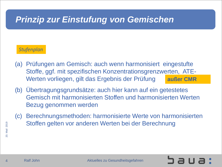## *Prinzip zur Einstufung von Gemischen*

#### *Stufenplan*

- (a) Prüfungen am Gemisch: auch wenn harmonisiert eingestufte Stoffe, ggf. mit spezifischen Konzentrationsgrenzwerten, ATE-Werten vorliegen, gilt das Ergebnis der Prüfung **außer CMR**
- (b) Übertragungsgrundsätze: auch hier kann auf ein getestetes Gemisch mit harmonisierten Stoffen und harmonisierten Werten Bezug genommen werden
- (c) Berechnungsmethoden: harmonisierte Werte von harmonisierten Stoffen gelten vor anderen Werten bei der Berechnung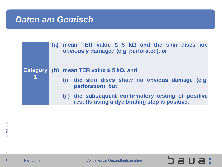#### *Daten am Gemisch*

|  | <b>(a)</b> | mean TER value $\leq$ 5 kQ and the skin discs are<br>obviously damaged (e.g. perforated), or             |  |  |
|--|------------|----------------------------------------------------------------------------------------------------------|--|--|
|  |            | Category (b) mean TER value $\leq$ 5 k $\Omega$ , and                                                    |  |  |
|  |            | (i) the skin discs show no obvious damage (e.g.<br>perforation), but                                     |  |  |
|  |            | the subsequent confirmatory testing of positive<br>(11)<br>results using a dye binding step is positive. |  |  |

sua: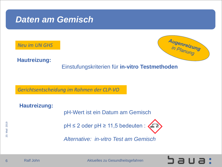### *Daten am Gemisch*

*Neu im UN GHS*



aua:

**Hautreizung:**

Einstufungskriterien für **in-vitro Testmethoden** 

*Gerichtsentscheidung im Rahmen der CLP-VO*

**Hautreizung:** pH-Wert ist ein Datum am Gemisch

 $pH \leq 2$  oder  $pH \geq 11,5$  bedeuten :

*Alternative: in-vitro Test am Gemisch* 



 $\frac{1}{2}$ <br>  $\frac{1}{2}$ <br>  $\frac{1}{2}$ <br>
Alternative: *in-vitro Test am Gen*<br>
Alternative: *in-vitro Test am Gen*<br>
Aktuelles zu Gesundheitsgefahren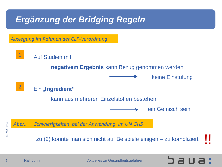# *Ergänzung der Bridging Regeln*

*Auslegung im Rahmen der CLP-Verordnung*



20. Mail 2019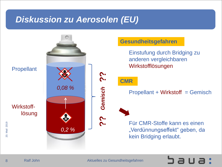### *Diskussion zu Aerosolen (EU)*



 $\overline{8}$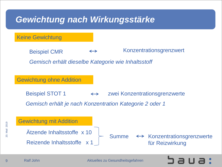# *Gewichtung nach Wirkungsstärke*

Keine Gewichtung

Konzentrationsgrenzwert  $\leftrightarrow$ Beispiel CMR

*Gemisch erhält dieselbe Kategorie wie Inhaltsstoff*

Gewichtung ohne Addition

Beispiel STOT 1  $\leftrightarrow$  zwei Konzentrationsgrenzwerte *Gemisch erhält je nach Konzentration Kategorie 2 oder 1*

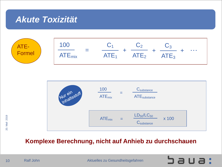### *Akute Toxizität*





#### **Komplexe Berechnung, nicht auf Anhieb zu durchschauen**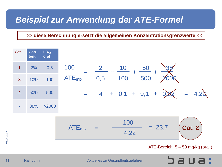### *Beispiel zur Anwendung der ATE-Formel*

#### **>> diese Berechnung ersetzt die allgemeinen Konzentrationsgrenzwerte <<**



 $rac{35}{11}$ <br>11  $11$ 

01.04.2019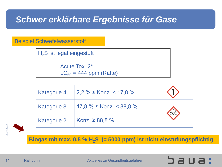## *Schwer erklärbare Ergebnisse für Gase*

#### Beispiel Schwefelwasserstoff

 $H<sub>2</sub>S$  ist legal eingestuft

Acute Tox. 2\*  $LC_{50} = 444$  ppm (Ratte)

| <b>Kategorie 4</b> | $2,2\% \leq$ Konz. < 17,8 %        |  |
|--------------------|------------------------------------|--|
| <b>Kategorie 3</b> | $17,8\%$ $\leq$ Konz. $\lt$ 88,8 % |  |
| <b>Kategorie 2</b> | <b>Konz.</b> ≥ 88,8 %              |  |



**Biogas mit max. 0,5 % H2S (= 5000 ppm) ist nicht einstufungspflichtig**